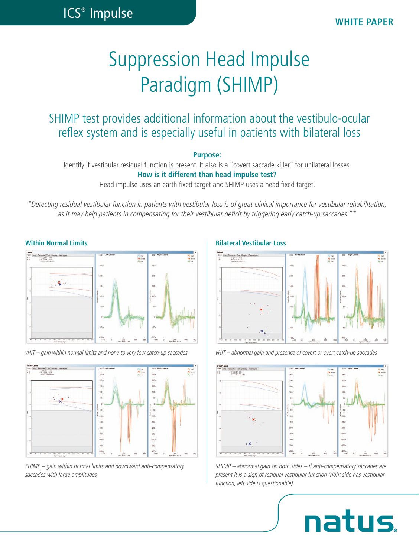# Suppression Head Impulse Paradigm (SHIMP)

## SHIMP test provides additional information about the vestibulo-ocular reflex system and is especially useful in patients with bilateral loss

### **Purpose:**

Identify if vestibular residual function is present. It also is a "covert saccade killer" for unilateral losses. **How is it different than head impulse test?** 

Head impulse uses an earth fixed target and SHIMP uses a head fixed target.

*"Detecting residual vestibular function in patients with vestibular loss is of great clinical importance for vestibular rehabilitation, as it may help patients in compensating for their vestibular deficit by triggering early catch-up saccades."\**



*vHIT – gain within normal limits and none to very few catch-up saccades*



*SHIMP – gain within normal limits and downward anti-compensatory saccades with large amplitudes*

### **Within Normal Limits Bilateral Vestibular Loss**



*vHIT – abnormal gain and presence of covert or overt catch-up saccades*



*SHIMP – abnormal gain on both sides – if anti-compensatory saccades are present it is a sign of residual vestibular function (right side has vestibular function, left side is questionable)*

**natus**